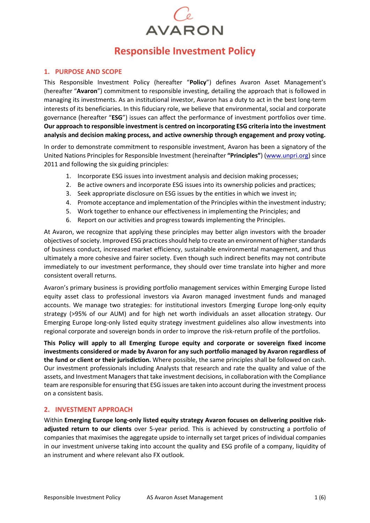# **AVARON**

# **Responsible Investment Policy**

#### **1. PURPOSE AND SCOPE**

This Responsible Investment Policy (hereafter "**Policy**") defines Avaron Asset Management's (hereafter "**Avaron**") commitment to responsible investing, detailing the approach that is followed in managing its investments. As an institutional investor, Avaron has a duty to act in the best long-term interests of its beneficiaries. In this fiduciary role, we believe that environmental, social and corporate governance (hereafter "**ESG**") issues can affect the performance of investment portfolios over time. **Our approach to responsible investment is centred on incorporating ESG criteria into the investment analysis and decision making process, and active ownership through engagement and proxy voting.**

In order to demonstrate commitment to responsible investment, Avaron has been a signatory of the United Nations Principles for Responsible Investment (hereinafter **"Principles"**) [\(www.unpri.org\)](http://www.unpri.org/) since 2011 and following the six guiding principles:

- 1. Incorporate ESG issues into investment analysis and decision making processes;
- 2. Be active owners and incorporate ESG issues into its ownership policies and practices;
- 3. Seek appropriate disclosure on ESG issues by the entities in which we invest in;
- 4. Promote acceptance and implementation of the Principles within the investment industry;
- 5. Work together to enhance our effectiveness in implementing the Principles; and
- 6. Report on our activities and progress towards implementing the Principles.

At Avaron, we recognize that applying these principles may better align investors with the broader objectives of society. Improved ESG practices should help to create an environment of higher standards of business conduct, increased market efficiency, sustainable environmental management, and thus ultimately a more cohesive and fairer society. Even though such indirect benefits may not contribute immediately to our investment performance, they should over time translate into higher and more consistent overall returns.

Avaron's primary business is providing portfolio management services within Emerging Europe listed equity asset class to professional investors via Avaron managed investment funds and managed accounts. We manage two strategies: for institutional investors Emerging Europe long-only equity strategy (>95% of our AUM) and for high net worth individuals an asset allocation strategy. Our Emerging Europe long-only listed equity strategy investment guidelines also allow investments into regional corporate and sovereign bonds in order to improve the risk-return profile of the portfolios.

**This Policy will apply to all Emerging Europe equity and corporate or sovereign fixed income investments considered or made by Avaron for any such portfolio managed by Avaron regardless of the fund or client or their jurisdiction.** Where possible, the same principles shall be followed on cash. Our investment professionals including Analysts that research and rate the quality and value of the assets, and Investment Managers that take investment decisions, in collaboration with the Compliance team are responsible for ensuring that ESG issues are taken into account during the investment process on a consistent basis.

### **2. INVESTMENT APPROACH**

Within **Emerging Europe long-only listed equity strategy Avaron focuses on delivering positive riskadjusted return to our clients** over 5-year period. This is achieved by constructing a portfolio of companies that maximises the aggregate upside to internally set target prices of individual companies in our investment universe taking into account the quality and ESG profile of a company, liquidity of an instrument and where relevant also FX outlook.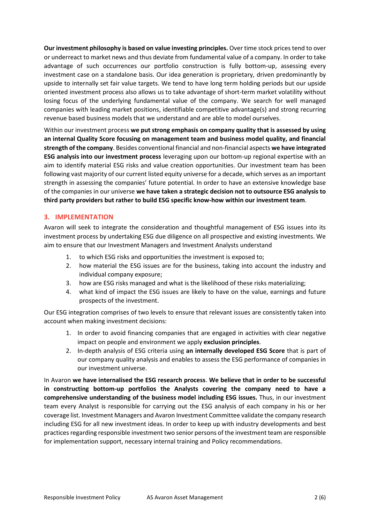**Our investment philosophy is based on value investing principles.** Over time stock prices tend to over or underreact to market news and thus deviate from fundamental value of a company. In order to take advantage of such occurrences our portfolio construction is fully bottom-up, assessing every investment case on a standalone basis. Our idea generation is proprietary, driven predominantly by upside to internally set fair value targets. We tend to have long term holding periods but our upside oriented investment process also allows us to take advantage of short-term market volatility without losing focus of the underlying fundamental value of the company. We search for well managed companies with leading market positions, identifiable competitive advantage(s) and strong recurring revenue based business models that we understand and are able to model ourselves.

Within our investment process **we put strong emphasis on company quality that is assessed by using an internal Quality Score focusing on management team and business model quality, and financial strength of the company**. Besides conventional financial and non-financial aspects **we have integrated ESG analysis into our investment process** leveraging upon our bottom-up regional expertise with an aim to identify material ESG risks and value creation opportunities. Our investment team has been following vast majority of our current listed equity universe for a decade, which serves as an important strength in assessing the companies' future potential. In order to have an extensive knowledge base of the companies in our universe **we have taken a strategic decision not to outsource ESG analysis to third party providers but rather to build ESG specific know-how within our investment team**.

### **3. IMPLEMENTATION**

Avaron will seek to integrate the consideration and thoughtful management of ESG issues into its investment process by undertaking ESG due diligence on all prospective and existing investments. We aim to ensure that our Investment Managers and Investment Analysts understand

- 1. to which ESG risks and opportunities the investment is exposed to;
- 2. how material the ESG issues are for the business, taking into account the industry and individual company exposure;
- 3. how are ESG risks managed and what is the likelihood of these risks materializing;
- 4. what kind of impact the ESG issues are likely to have on the value, earnings and future prospects of the investment.

Our ESG integration comprises of two levels to ensure that relevant issues are consistently taken into account when making investment decisions:

- 1. In order to avoid financing companies that are engaged in activities with clear negative impact on people and environment we apply **exclusion principles**.
- 2. In-depth analysis of ESG criteria using **an internally developed ESG Score** that is part of our company quality analysis and enables to assess the ESG performance of companies in our investment universe.

In Avaron **we have internalised the ESG research process**. **We believe that in order to be successful in constructing bottom-up portfolios the Analysts covering the company need to have a comprehensive understanding of the business model including ESG issues.** Thus, in our investment team every Analyst is responsible for carrying out the ESG analysis of each company in his or her coverage list. Investment Managers and Avaron Investment Committee validate the company research including ESG for all new investment ideas. In order to keep up with industry developments and best practices regarding responsible investment two senior persons of the investment team are responsible for implementation support, necessary internal training and Policy recommendations.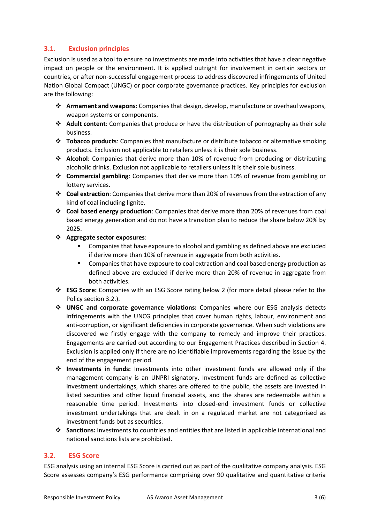## **3.1. Exclusion principles**

Exclusion is used as a tool to ensure no investments are made into activities that have a clear negative impact on people or the environment. It is applied outright for involvement in certain sectors or countries, or after non-successful engagement process to address discovered infringements of United Nation Global Compact (UNGC) or poor corporate governance practices. Key principles for exclusion are the following:

- ❖ **Armament and weapons:** Companies that design, develop, manufacture or overhaul weapons, weapon systems or components.
- ❖ **Adult content**: Companies that produce or have the distribution of pornography as their sole business.
- ❖ **Tobacco products**: Companies that manufacture or distribute tobacco or alternative smoking products. Exclusion not applicable to retailers unless it is their sole business.
- ❖ **Alcohol**: Companies that derive more than 10% of revenue from producing or distributing alcoholic drinks. Exclusion not applicable to retailers unless it is their sole business.
- ❖ **Commercial gambling**: Companies that derive more than 10% of revenue from gambling or lottery services.
- ❖ **Coal extraction**: Companies that derive more than 20% of revenues from the extraction of any kind of coal including lignite.
- ❖ **Coal based energy production**: Companies that derive more than 20% of revenues from coal based energy generation and do not have a transition plan to reduce the share below 20% by 2025.
- ❖ **Aggregate sector exposures**:
	- Companies that have exposure to alcohol and gambling as defined above are excluded if derive more than 10% of revenue in aggregate from both activities.
	- **EXECOM** Companies that have exposure to coal extraction and coal based energy production as defined above are excluded if derive more than 20% of revenue in aggregate from both activities.
- ❖ **ESG Score:** Companies with an ESG Score rating below 2 (for more detail please refer to the Policy section 3.2.).
- ❖ **UNGC and corporate governance violations:** Companies where our ESG analysis detects infringements with the UNCG principles that cover human rights, labour, environment and anti-corruption, or significant deficiencies in corporate governance. When such violations are discovered we firstly engage with the company to remedy and improve their practices. Engagements are carried out according to our Engagement Practices described in Section 4. Exclusion is applied only if there are no identifiable improvements regarding the issue by the end of the engagement period.
- ❖ **Investments in funds:** Investments into other investment funds are allowed only if the management company is an UNPRI signatory. Investment funds are defined as collective investment undertakings, which shares are offered to the public, the assets are invested in listed securities and other liquid financial assets, and the shares are redeemable within a reasonable time period. Investments into closed-end investment funds or collective investment undertakings that are dealt in on a regulated market are not categorised as investment funds but as securities.
- ❖ **Sanctions:** Investments to countries and entities that are listed in applicable international and national sanctions lists are prohibited.

### **3.2. ESG Score**

ESG analysis using an internal ESG Score is carried out as part of the qualitative company analysis. ESG Score assesses company's ESG performance comprising over 90 qualitative and quantitative criteria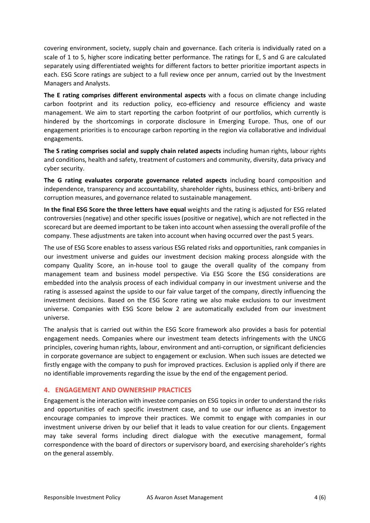covering environment, society, supply chain and governance. Each criteria is individually rated on a scale of 1 to 5, higher score indicating better performance. The ratings for E, S and G are calculated separately using differentiated weights for different factors to better prioritize important aspects in each. ESG Score ratings are subject to a full review once per annum, carried out by the Investment Managers and Analysts.

**The E rating comprises different environmental aspects** with a focus on climate change including carbon footprint and its reduction policy, eco-efficiency and resource efficiency and waste management. We aim to start reporting the carbon footprint of our portfolios, which currently is hindered by the shortcomings in corporate disclosure in Emerging Europe. Thus, one of our engagement priorities is to encourage carbon reporting in the region via collaborative and individual engagements.

**The S rating comprises social and supply chain related aspects** including human rights, labour rights and conditions, health and safety, treatment of customers and community, diversity, data privacy and cyber security.

**The G rating evaluates corporate governance related aspects** including board composition and independence, transparency and accountability, shareholder rights, business ethics, anti-bribery and corruption measures, and governance related to sustainable management.

**In the final ESG Score the three letters have equal** weights and the rating is adjusted for ESG related controversies (negative) and other specific issues (positive or negative), which are not reflected in the scorecard but are deemed important to be taken into account when assessing the overall profile of the company. These adjustments are taken into account when having occurred over the past 5 years.

The use of ESG Score enables to assess various ESG related risks and opportunities, rank companies in our investment universe and guides our investment decision making process alongside with the company Quality Score, an in-house tool to gauge the overall quality of the company from management team and business model perspective. Via ESG Score the ESG considerations are embedded into the analysis process of each individual company in our investment universe and the rating is assessed against the upside to our fair value target of the company, directly influencing the investment decisions. Based on the ESG Score rating we also make exclusions to our investment universe. Companies with ESG Score below 2 are automatically excluded from our investment universe.

The analysis that is carried out within the ESG Score framework also provides a basis for potential engagement needs. Companies where our investment team detects infringements with the UNCG principles, covering human rights, labour, environment and anti-corruption, or significant deficiencies in corporate governance are subject to engagement or exclusion. When such issues are detected we firstly engage with the company to push for improved practices. Exclusion is applied only if there are no identifiable improvements regarding the issue by the end of the engagement period.

#### **4. ENGAGEMENT AND OWNERSHIP PRACTICES**

Engagement is the interaction with investee companies on ESG topics in order to understand the risks and opportunities of each specific investment case, and to use our influence as an investor to encourage companies to improve their practices. We commit to engage with companies in our investment universe driven by our belief that it leads to value creation for our clients. Engagement may take several forms including direct dialogue with the executive management, formal correspondence with the board of directors or supervisory board, and exercising shareholder's rights on the general assembly.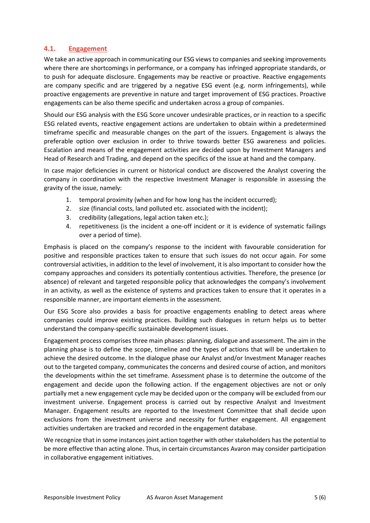#### **4.1. Engagement**

We take an active approach in communicating our ESG views to companies and seeking improvements where there are shortcomings in performance, or a company has infringed appropriate standards, or to push for adequate disclosure. Engagements may be reactive or proactive. Reactive engagements are company specific and are triggered by a negative ESG event (e.g. norm infringements), while proactive engagements are preventive in nature and target improvement of ESG practices. Proactive engagements can be also theme specific and undertaken across a group of companies.

Should our ESG analysis with the ESG Score uncover undesirable practices, or in reaction to a specific ESG related events, reactive engagement actions are undertaken to obtain within a predetermined timeframe specific and measurable changes on the part of the issuers. Engagement is always the preferable option over exclusion in order to thrive towards better ESG awareness and policies. Escalation and means of the engagement activities are decided upon by Investment Managers and Head of Research and Trading, and depend on the specifics of the issue at hand and the company.

In case major deficiencies in current or historical conduct are discovered the Analyst covering the company in coordination with the respective Investment Manager is responsible in assessing the gravity of the issue, namely:

- 1. temporal proximity (when and for how long has the incident occurred);
- 2. size (financial costs, land polluted etc. associated with the incident);
- 3. credibility (allegations, legal action taken etc.);
- 4. repetitiveness (is the incident a one-off incident or it is evidence of systematic failings over a period of time).

Emphasis is placed on the company's response to the incident with favourable consideration for positive and responsible practices taken to ensure that such issues do not occur again. For some controversial activities, in addition to the level of involvement, it is also important to consider how the company approaches and considers its potentially contentious activities. Therefore, the presence (or absence) of relevant and targeted responsible policy that acknowledges the company's involvement in an activity, as well as the existence of systems and practices taken to ensure that it operates in a responsible manner, are important elements in the assessment.

Our ESG Score also provides a basis for proactive engagements enabling to detect areas where companies could improve existing practices. Building such dialogues in return helps us to better understand the company-specific sustainable development issues.

Engagement process comprises three main phases: planning, dialogue and assessment. The aim in the planning phase is to define the scope, timeline and the types of actions that will be undertaken to achieve the desired outcome. In the dialogue phase our Analyst and/or Investment Manager reaches out to the targeted company, communicates the concerns and desired course of action, and monitors the developments within the set timeframe. Assessment phase is to determine the outcome of the engagement and decide upon the following action. If the engagement objectives are not or only partially met a new engagement cycle may be decided upon or the company will be excluded from our investment universe. Engagement process is carried out by respective Analyst and Investment Manager. Engagement results are reported to the Investment Committee that shall decide upon exclusions from the investment universe and necessity for further engagement. All engagement activities undertaken are tracked and recorded in the engagement database.

We recognize that in some instances joint action together with other stakeholders has the potential to be more effective than acting alone. Thus, in certain circumstances Avaron may consider participation in collaborative engagement initiatives.